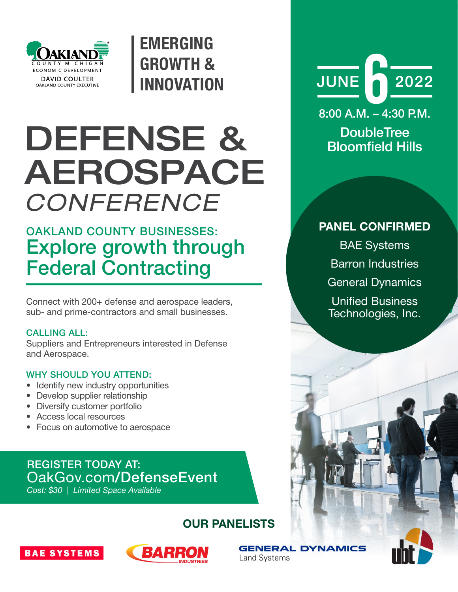

EMERGING GROWTH & INNOVATION

# DEFENSE & AEROSPACE *CONFERENCE*

## OAKLAND COUNTY BUSINESSES: Explore growth through Federal Contracting

Connect with 200+ defense and aerospace leaders, sub- and prime-contractors and small businesses.

#### CALLING ALL:

Suppliers and Entrepreneurs interested in Defense and Aerospace.

#### WHY SHOULD YOU ATTEND:

- Identify new industry opportunities
- Develop supplier relationship
- Diversify customer portfolio
- Access local resources
- Focus on automotive to aerospace

### REGISTER TODAY AT: OakGov.com[/DefenseEvent](https://www.oakgov.com/advantageoakland/business/Pages/Defense-Aerospace-Conference.aspx)

*Cost: \$30 | Limited Space Available*

### OUR PANELISTS





**GENERAL DYNAMICS Land Systems** 



8:00 A.M. – 4:30 P.M.

**DoubleTree** Bloomfield Hills

#### PANEL CONFIRMED

BAE Systems Barron Industries General Dynamics Unified Business Technologies, Inc.